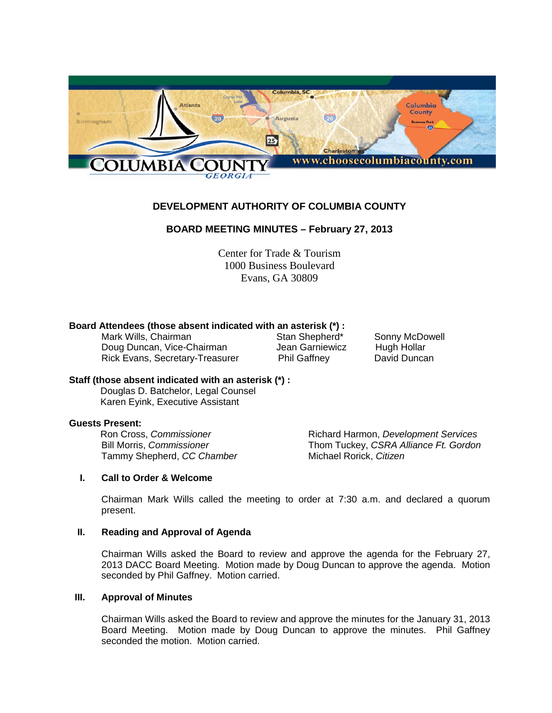

# **DEVELOPMENT AUTHORITY OF COLUMBIA COUNTY**

# **BOARD MEETING MINUTES – February 27, 2013**

Center for Trade & Tourism 1000 Business Boulevard Evans, GA 30809

# **Board Attendees (those absent indicated with an asterisk (\*) :**

Mark Wills, Chairman **Stan Shepherd\*** Sonny McDowell<br>
Doug Duncan, Vice-Chairman Sean Garniewicz Hugh Hollar Doug Duncan, Vice-Chairman Jean Garniewicz Hugh Hollar<br>Rick Evans, Secretary-Treasurer Phil Gaffney David Duncan Rick Evans, Secretary-Treasurer Phil Gaffney

#### **Staff (those absent indicated with an asterisk (\*) :**

 Douglas D. Batchelor, Legal Counsel Karen Eyink, Executive Assistant

**Guests Present: Tammy Shepherd, CC Chamber** 

Ron Cross, *Commissioner* **Richard Harmon,** *Development Services*<br>Bill Morris, *Commissioner* **Reserve State Contract Constructed Frank** CSRA Alliance Ft. Gordon Thom Tuckey, *CSRA Alliance Ft. Gordon*<br>Michael Rorick, *Citizen* 

#### **I. Call to Order & Welcome**

Chairman Mark Wills called the meeting to order at 7:30 a.m. and declared a quorum present.

#### **II. Reading and Approval of Agenda**

Chairman Wills asked the Board to review and approve the agenda for the February 27, 2013 DACC Board Meeting. Motion made by Doug Duncan to approve the agenda. Motion seconded by Phil Gaffney. Motion carried.

#### **III. Approval of Minutes**

Chairman Wills asked the Board to review and approve the minutes for the January 31, 2013 Board Meeting. Motion made by Doug Duncan to approve the minutes. Phil Gaffney seconded the motion. Motion carried.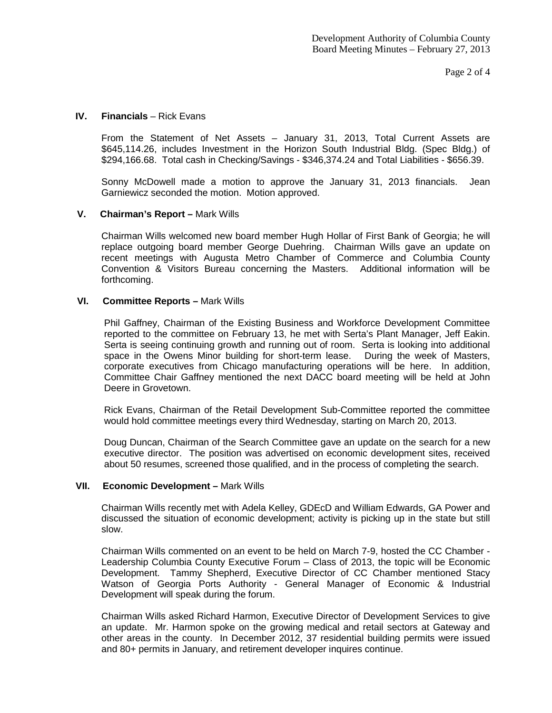Page 2 of 4

#### **IV.** Financials – Rick Evans

From the Statement of Net Assets – January 31, 2013, Total Current Assets are \$645,114.26, includes Investment in the Horizon South Industrial Bldg. (Spec Bldg.) of \$294,166.68. Total cash in Checking/Savings - \$346,374.24 and Total Liabilities - \$656.39.

Sonny McDowell made a motion to approve the January 31, 2013 financials. Jean Garniewicz seconded the motion. Motion approved.

# **V. Chairman's Report –** Mark Wills

Chairman Wills welcomed new board member Hugh Hollar of First Bank of Georgia; he will replace outgoing board member George Duehring. Chairman Wills gave an update on recent meetings with Augusta Metro Chamber of Commerce and Columbia County Convention & Visitors Bureau concerning the Masters. Additional information will be forthcoming.

# **VI. Committee Reports –** Mark Wills

Phil Gaffney, Chairman of the Existing Business and Workforce Development Committee reported to the committee on February 13, he met with Serta's Plant Manager, Jeff Eakin. Serta is seeing continuing growth and running out of room. Serta is looking into additional space in the Owens Minor building for short-term lease. During the week of Masters, corporate executives from Chicago manufacturing operations will be here. In addition, Committee Chair Gaffney mentioned the next DACC board meeting will be held at John Deere in Grovetown.

Rick Evans, Chairman of the Retail Development Sub-Committee reported the committee would hold committee meetings every third Wednesday, starting on March 20, 2013.

Doug Duncan, Chairman of the Search Committee gave an update on the search for a new executive director. The position was advertised on economic development sites, received about 50 resumes, screened those qualified, and in the process of completing the search.

#### **VII. Economic Development –** Mark Wills

Chairman Wills recently met with Adela Kelley, GDEcD and William Edwards, GA Power and discussed the situation of economic development; activity is picking up in the state but still slow.

Chairman Wills commented on an event to be held on March 7-9, hosted the CC Chamber - Leadership Columbia County Executive Forum – Class of 2013, the topic will be Economic Development. Tammy Shepherd, Executive Director of CC Chamber mentioned Stacy Watson of Georgia Ports Authority - General Manager of Economic & Industrial Development will speak during the forum.

Chairman Wills asked Richard Harmon, Executive Director of Development Services to give an update. Mr. Harmon spoke on the growing medical and retail sectors at Gateway and other areas in the county. In December 2012, 37 residential building permits were issued and 80+ permits in January, and retirement developer inquires continue.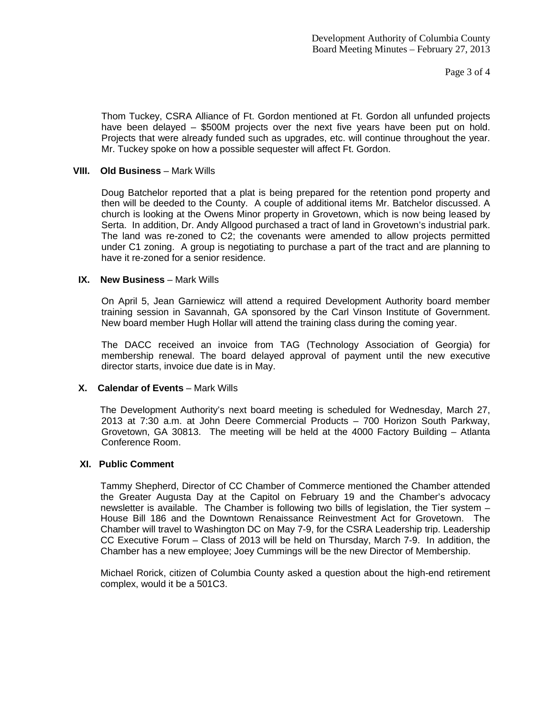Page 3 of 4

Thom Tuckey, CSRA Alliance of Ft. Gordon mentioned at Ft. Gordon all unfunded projects have been delayed – \$500M projects over the next five years have been put on hold. Projects that were already funded such as upgrades, etc. will continue throughout the year. Mr. Tuckey spoke on how a possible sequester will affect Ft. Gordon.

# **VIII. Old Business** – Mark Wills

Doug Batchelor reported that a plat is being prepared for the retention pond property and then will be deeded to the County. A couple of additional items Mr. Batchelor discussed. A church is looking at the Owens Minor property in Grovetown, which is now being leased by Serta. In addition, Dr. Andy Allgood purchased a tract of land in Grovetown's industrial park. The land was re-zoned to C2; the covenants were amended to allow projects permitted under C1 zoning. A group is negotiating to purchase a part of the tract and are planning to have it re-zoned for a senior residence.

# **IX.** New Business – Mark Wills

On April 5, Jean Garniewicz will attend a required Development Authority board member training session in Savannah, GA sponsored by the Carl Vinson Institute of Government. New board member Hugh Hollar will attend the training class during the coming year.

The DACC received an invoice from TAG (Technology Association of Georgia) for membership renewal. The board delayed approval of payment until the new executive director starts, invoice due date is in May.

# **X.** Calendar of Events – Mark Wills

The Development Authority's next board meeting is scheduled for Wednesday, March 27, 2013 at 7:30 a.m. at John Deere Commercial Products – 700 Horizon South Parkway, Grovetown, GA 30813. The meeting will be held at the 4000 Factory Building – Atlanta Conference Room.

#### **XI. Public Comment**

Tammy Shepherd, Director of CC Chamber of Commerce mentioned the Chamber attended the Greater Augusta Day at the Capitol on February 19 and the Chamber's advocacy newsletter is available. The Chamber is following two bills of legislation, the Tier system – House Bill 186 and the Downtown Renaissance Reinvestment Act for Grovetown. The Chamber will travel to Washington DC on May 7-9, for the CSRA Leadership trip. Leadership CC Executive Forum – Class of 2013 will be held on Thursday, March 7-9. In addition, the Chamber has a new employee; Joey Cummings will be the new Director of Membership.

Michael Rorick, citizen of Columbia County asked a question about the high-end retirement complex, would it be a 501C3.